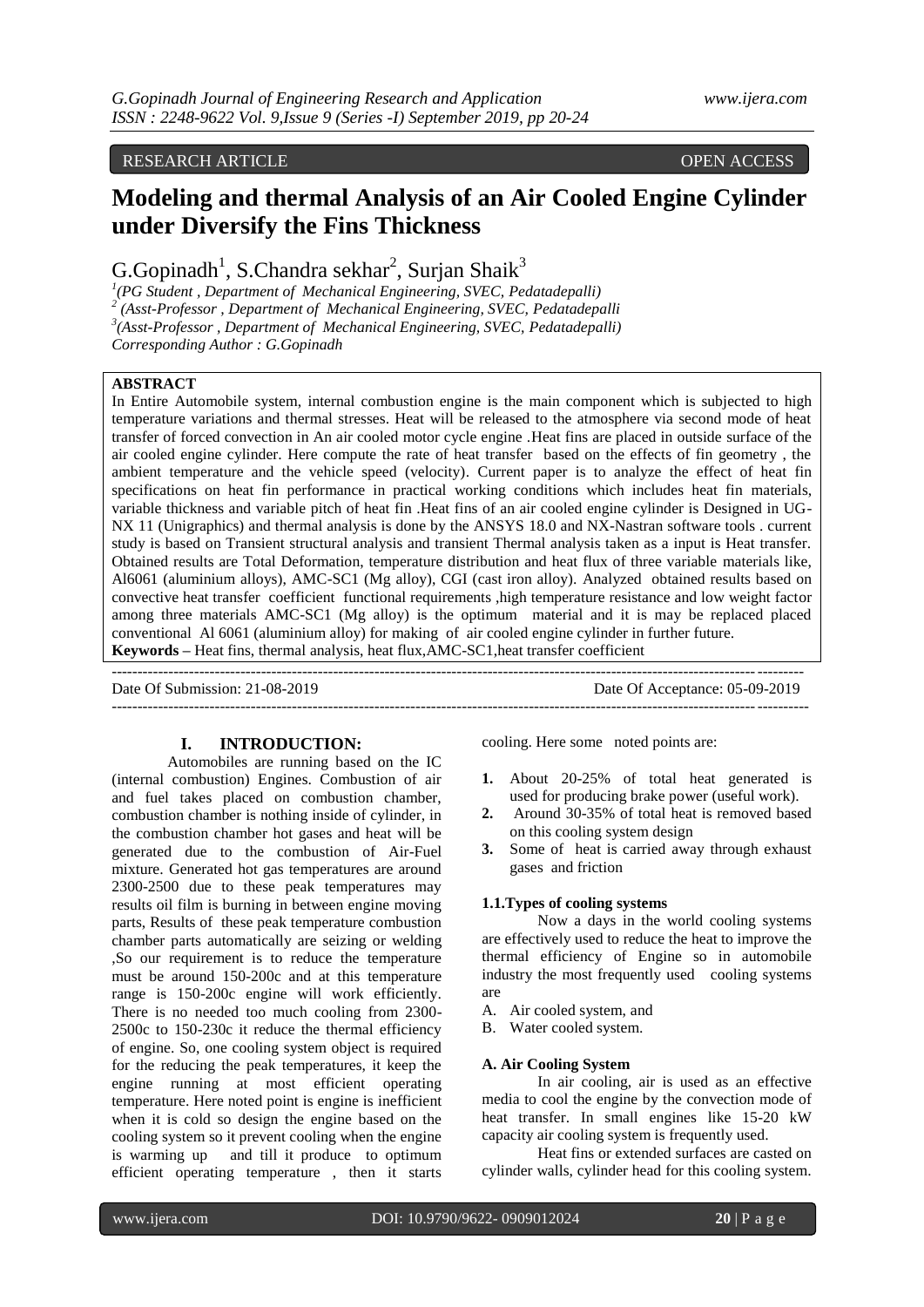# RESEARCH ARTICLE OPEN ACCESS

# **Modeling and thermal Analysis of an Air Cooled Engine Cylinder under Diversify the Fins Thickness**

 $G.Gopinadh<sup>1</sup>, S.Chandra sekhar<sup>2</sup>, Surjan Shaik<sup>3</sup>$ 

*1 (PG Student , Department of Mechanical Engineering, SVEC, Pedatadepalli) 2 (Asst-Professor , Department of Mechanical Engineering, SVEC, Pedatadepalli 3 (Asst-Professor , Department of Mechanical Engineering, SVEC, Pedatadepalli)*

*Corresponding Author : G.Gopinadh*

## **ABSTRACT**

In Entire Automobile system, internal combustion engine is the main component which is subjected to high temperature variations and thermal stresses. Heat will be released to the atmosphere via second mode of heat transfer of forced convection in An air cooled motor cycle engine .Heat fins are placed in outside surface of the air cooled engine cylinder. Here compute the rate of heat transfer based on the effects of fin geometry , the ambient temperature and the vehicle speed (velocity). Current paper is to analyze the effect of heat fin specifications on heat fin performance in practical working conditions which includes heat fin materials, variable thickness and variable pitch of heat fin .Heat fins of an air cooled engine cylinder is Designed in UG-NX 11 (Unigraphics) and thermal analysis is done by the ANSYS 18.0 and NX-Nastran software tools . current study is based on Transient structural analysis and transient Thermal analysis taken as a input is Heat transfer. Obtained results are Total Deformation, temperature distribution and heat flux of three variable materials like, Al6061 (aluminium alloys), AMC-SC1 (Mg alloy), CGI (cast iron alloy). Analyzed obtained results based on convective heat transfer coefficient functional requirements ,high temperature resistance and low weight factor among three materials AMC-SC1 (Mg alloy) is the optimum material and it is may be replaced placed conventional Al 6061 (aluminium alloy) for making of air cooled engine cylinder in further future. **Keywords –** Heat fins, thermal analysis, heat flux,AMC-SC1,heat transfer coefficient

---------------------------------------------------------------------------------------------------------------------------------------

--------------------------------------------------------------------------------------------------------------------------------------

Date Of Submission: 21-08-2019 Date Of Acceptance: 05-09-2019

**I. INTRODUCTION:**

Automobiles are running based on the IC (internal combustion) Engines. Combustion of air and fuel takes placed on combustion chamber, combustion chamber is nothing inside of cylinder, in the combustion chamber hot gases and heat will be generated due to the combustion of Air-Fuel mixture. Generated hot gas temperatures are around 2300-2500 due to these peak temperatures may results oil film is burning in between engine moving parts, Results of these peak temperature combustion chamber parts automatically are seizing or welding ,So our requirement is to reduce the temperature must be around 150-200c and at this temperature range is 150-200c engine will work efficiently. There is no needed too much cooling from 2300- 2500c to 150-230c it reduce the thermal efficiency of engine. So, one cooling system object is required for the reducing the peak temperatures, it keep the engine running at most efficient operating temperature. Here noted point is engine is inefficient when it is cold so design the engine based on the cooling system so it prevent cooling when the engine is warming up and till it produce to optimum efficient operating temperature , then it starts

cooling. Here some noted points are:

- **1.** About 20-25% of total heat generated is used for producing brake power (useful work).
- **2.** Around 30-35% of total heat is removed based on this cooling system design
- **3.** Some of heat is carried away through exhaust gases and friction

#### **1.1.Types of cooling systems**

Now a days in the world cooling systems are effectively used to reduce the heat to improve the thermal efficiency of Engine so in automobile industry the most frequently used cooling systems are

- A. Air cooled system, and
- B. Water cooled system.

## **A. Air Cooling System**

In air cooling, air is used as an effective media to cool the engine by the convection mode of heat transfer. In small engines like 15-20 kW capacity air cooling system is frequently used.

Heat fins or extended surfaces are casted on cylinder walls, cylinder head for this cooling system.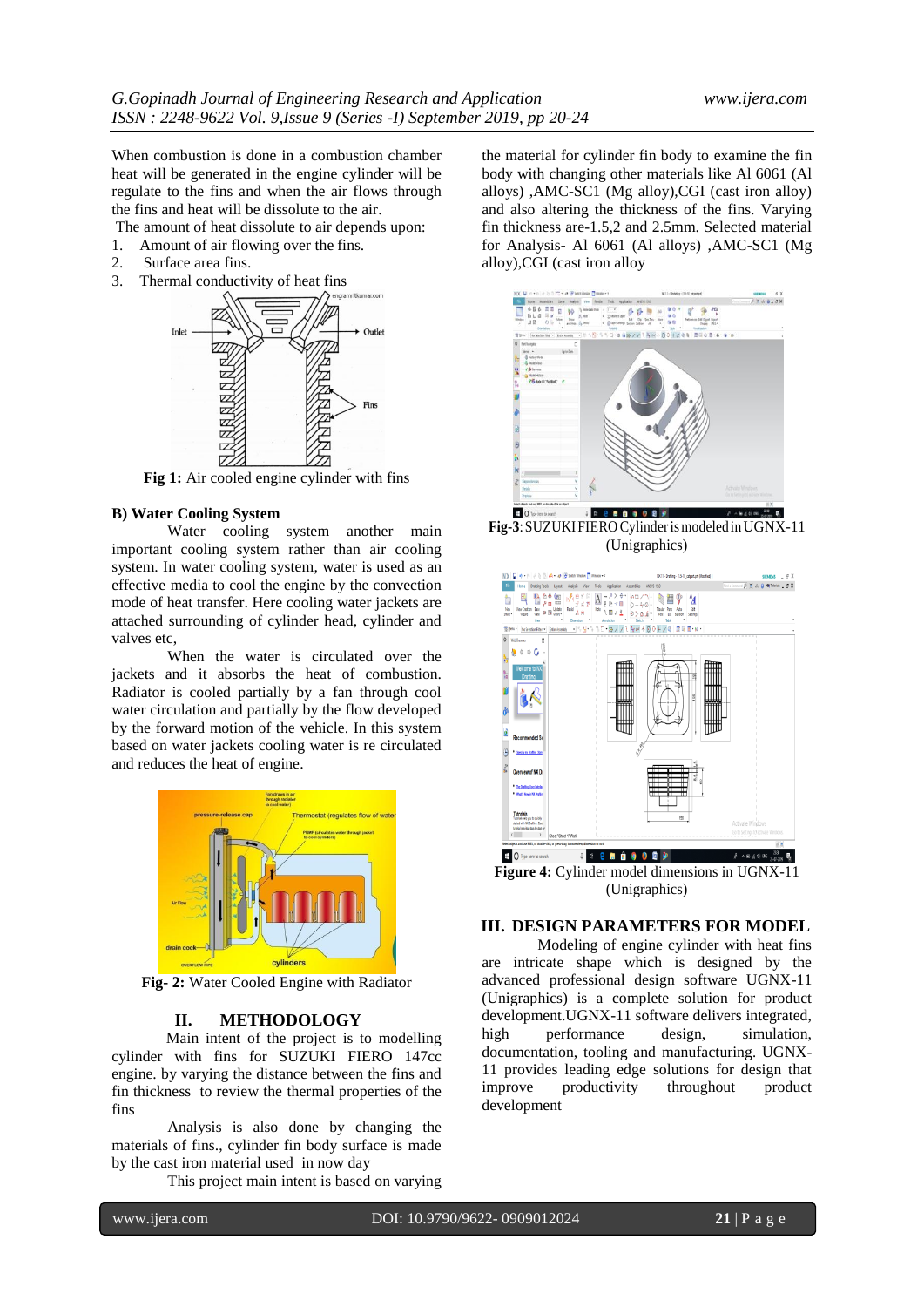When combustion is done in a combustion chamber heat will be generated in the engine cylinder will be regulate to the fins and when the air flows through the fins and heat will be dissolute to the air.

The amount of heat dissolute to air depends upon:<br>1. Amount of air flowing over the fins.

- 1. Amount of air flowing over the fins.<br>2. Surface area fins.
- Surface area fins.
- 3. Thermal conductivity of heat fins



**Fig 1:** Air cooled engine cylinder with fins

#### **B) Water Cooling System**

Water cooling system another main important cooling system rather than air cooling system. In water cooling system, water is used as an effective media to cool the engine by the convection mode of heat transfer. Here cooling water jackets are attached surrounding of cylinder head, cylinder and valves etc,

When the water is circulated over the jackets and it absorbs the heat of combustion. Radiator is cooled partially by a fan through cool water circulation and partially by the flow developed by the forward motion of the vehicle. In this system based on water jackets cooling water is re circulated and reduces the heat of engine.



**Fig- 2:** Water Cooled Engine with Radiator

## **II. METHODOLOGY**

 Main intent of the project is to modelling cylinder with fins for SUZUKI FIERO 147cc engine. by varying the distance between the fins and fin thickness to review the thermal properties of the fins

Analysis is also done by changing the materials of fins., cylinder fin body surface is made by the cast iron material used in now day

This project main intent is based on varying

the material for cylinder fin body to examine the fin body with changing other materials like Al 6061 (Al alloys) ,AMC-SC1 (Mg alloy),CGI (cast iron alloy) and also altering the thickness of the fins. Varying fin thickness are-1.5,2 and 2.5mm. Selected material for Analysis- Al 6061 (Al alloys) ,AMC-SC1 (Mg alloy),CGI (cast iron alloy



**Fig-3**:SUZUKIFIERO Cylinderismodeled inUGNX-11 (Unigraphics)



**Figure 4:** Cylinder model dimensions in UGNX-11 (Unigraphics)

## **III. DESIGN PARAMETERS FOR MODEL**

Modeling of engine cylinder with heat fins are intricate shape which is designed by the advanced professional design software UGNX-11 (Unigraphics) is a complete solution for product development.UGNX-11 software delivers integrated, high performance design, simulation, documentation, tooling and manufacturing. UGNX-11 provides leading edge solutions for design that improve productivity throughout product development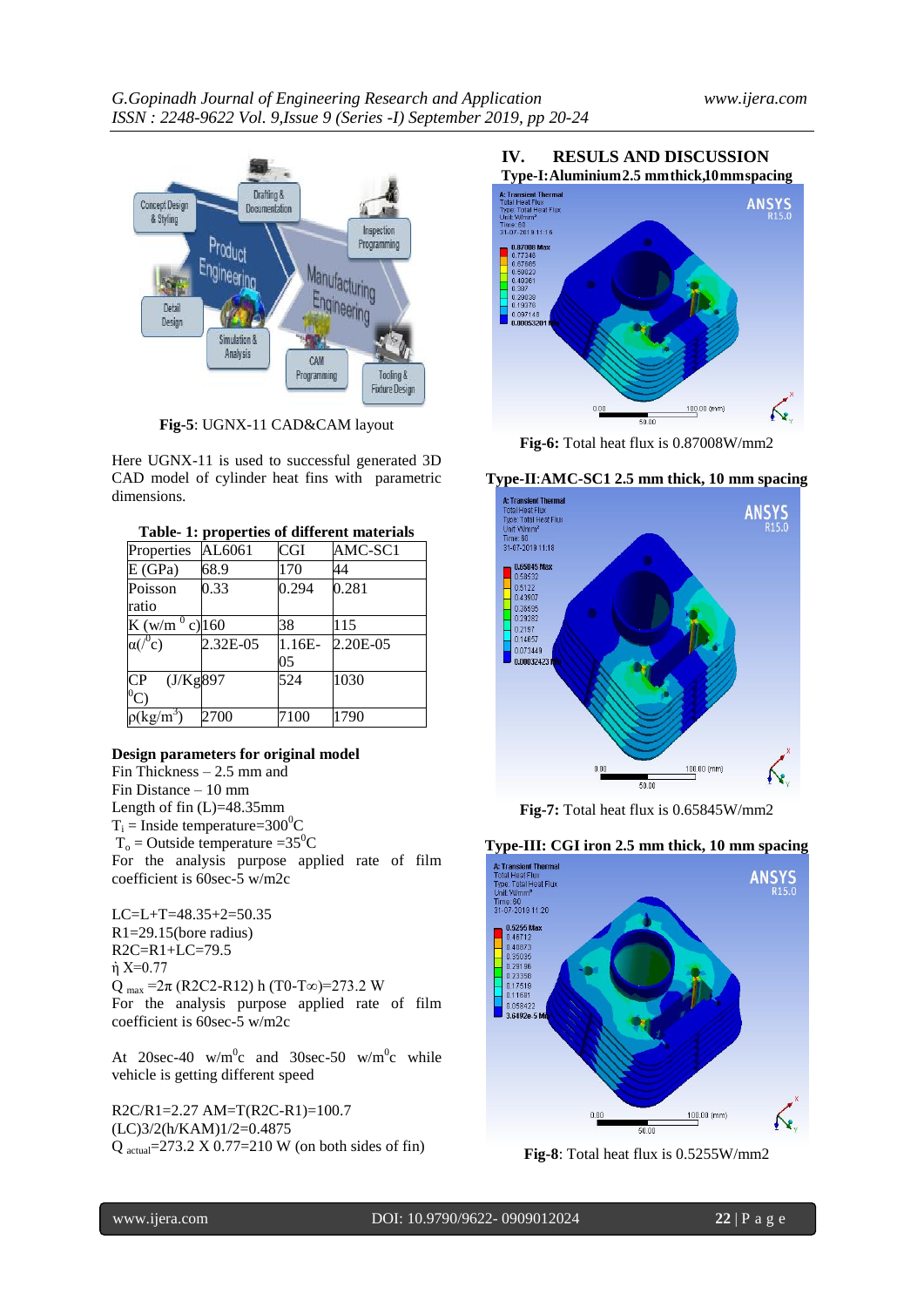

**Fig-5**: UGNX-11 CAD&CAM layout

Here UGNX-11 is used to successful generated 3D CAD model of cylinder heat fins with parametric dimensions.

|  |  | Table- 1: properties of different materials |
|--|--|---------------------------------------------|
|--|--|---------------------------------------------|

| Properties                          | AL6061   | $_{\rm{CGI}}$ | AMC-SC1  |
|-------------------------------------|----------|---------------|----------|
| E(GPa)                              | 68.9     | 170           | 44       |
| Poisson                             | 0.33     | 0.294         | 0.281    |
| ratio                               |          |               |          |
| K $(\frac{w}{m}^0 c)$ 160           |          | 38            | 115      |
| $\alpha$ ( $\alpha$ <sup>0</sup> c) | 2.32E-05 | 1.16E-        | 2.20E-05 |
|                                     |          | 05            |          |
| (J/Kg897)<br>СP                     |          | 524           | 1030     |
| $^{0}\mathrm{C})$                   |          |               |          |
| $\rho(\mathrm{kg/m}^3)$             | 2700     | 7100          | 1790     |

## **Design parameters for original model**

Fin Thickness – 2.5 mm and Fin Distance – 10 mm Length of fin (L)=48.35mm  $T_i$  = Inside temperature=300<sup>o</sup>C  $T_0$  = Outside temperature = 35<sup>0</sup>C For the analysis purpose applied rate of film coefficient is 60sec-5 w/m2c

LC=L+T=48.35+2=50.35 R1=29.15(bore radius) R2C=R1+LC=79.5  $η$  X=0.77 Q  $_{\text{max}}$  =2 $\pi$  (R2C2-R12) h (T0-T∞)=273.2 W For the analysis purpose applied rate of film coefficient is 60sec-5 w/m2c

At 20sec-40 w/m<sup>o</sup>c and 30sec-50 w/m<sup>o</sup>c while vehicle is getting different speed

R2C/R1=2.27 AM=T(R2C-R1)=100.7 (LC)3/2(h/KAM)1/2=0.4875 Q actual=273.2 X 0.77=210 W (on both sides of fin)





**Fig-6:** Total heat flux is 0.87008W/mm2

#### **Type-II**:**AMC-SC1 2.5 mm thick, 10 mm spacing**



**Fig-7:** Total heat flux is 0.65845W/mm2

#### **Type-III: CGI iron 2.5 mm thick, 10 mm spacing**



**Fig-8**: Total heat flux is 0.5255W/mm2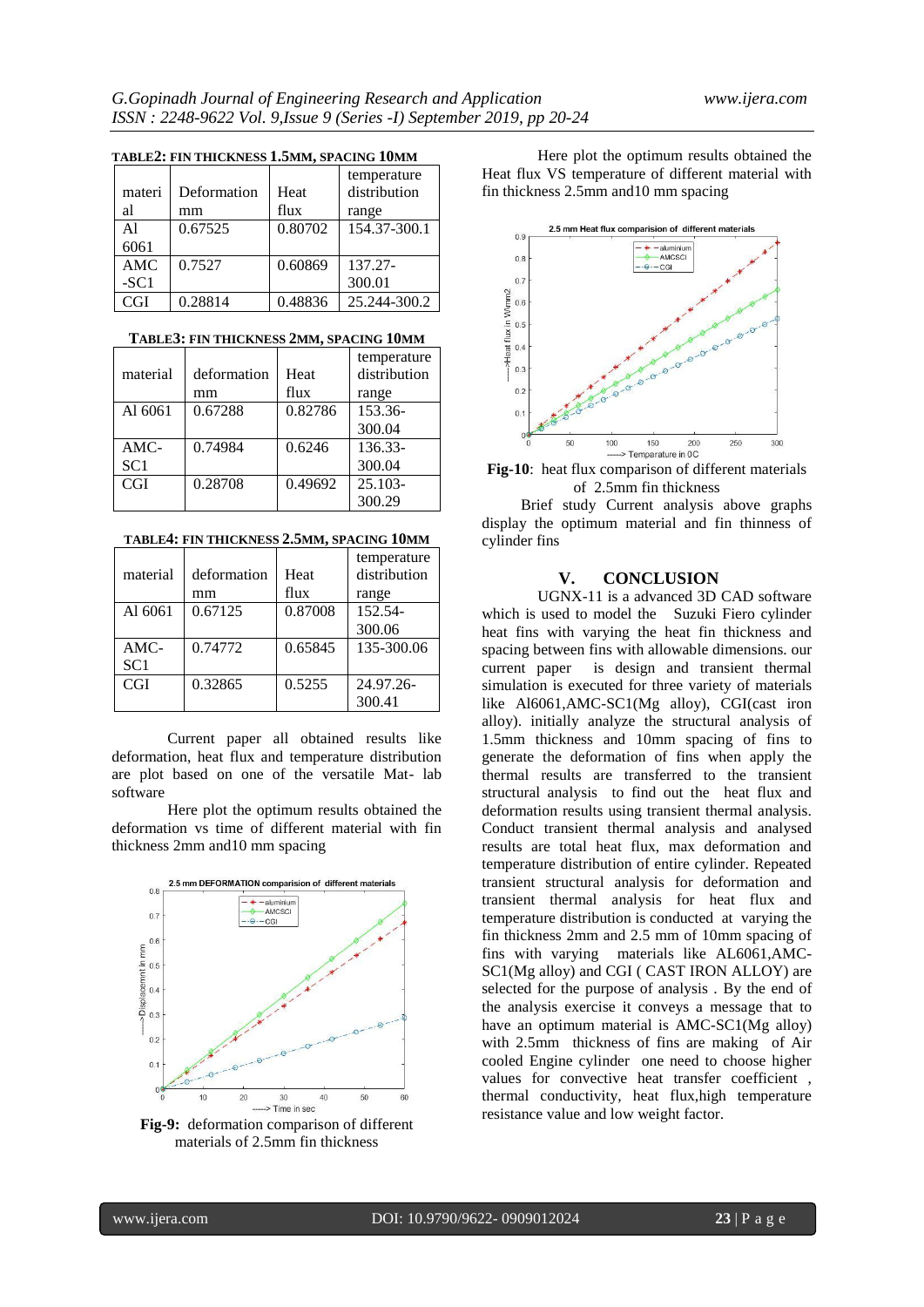| TADLEZ, FIN THIUNNESS 1.9MM, SPAUDU TUMM |             |         |              |
|------------------------------------------|-------------|---------|--------------|
|                                          |             |         | temperature  |
| materi                                   | Deformation | Heat    | distribution |
| al                                       | mm          | flux    | range        |
| A <sub>1</sub>                           | 0.67525     | 0.80702 | 154.37-300.1 |
| 6061                                     |             |         |              |
| AMC                                      | 0.7527      | 0.60869 | 137.27-      |
| $-SC1$                                   |             |         | 300.01       |
| CGI                                      | 0.28814     | 0.48836 | 25.244-300.2 |

## **TABLE2: FIN THICKNESS 1.5MM, SPACING 10MM**

#### **TABLE3: FIN THICKNESS 2MM, SPACING 10MM**

|                 |             |         | temperature  |
|-----------------|-------------|---------|--------------|
| material        | deformation | Heat    | distribution |
|                 | mm          | flux    | range        |
| Al 6061         | 0.67288     | 0.82786 | 153.36-      |
|                 |             |         | 300.04       |
| $AMC-$          | 0.74984     | 0.6246  | 136.33-      |
| SC <sub>1</sub> |             |         | 300.04       |
| <b>CGI</b>      | 0.28708     | 0.49692 | $25.103 -$   |
|                 |             |         | 300.29       |

**TABLE4: FIN THICKNESS 2.5MM, SPACING 10MM**

| material   | deformation | Heat    | temperature<br>distribution |
|------------|-------------|---------|-----------------------------|
|            | mm          | flux    | range                       |
| Al 6061    | 0.67125     | 0.87008 | 152.54-                     |
|            |             |         | 300.06                      |
| $AMC-$     | 0.74772     | 0.65845 | 135-300.06                  |
| SC1        |             |         |                             |
| <b>CGI</b> | 0.32865     | 0.5255  | 24.97.26-                   |
|            |             |         | 300.41                      |

Current paper all obtained results like deformation, heat flux and temperature distribution are plot based on one of the versatile Mat- lab software

Here plot the optimum results obtained the deformation vs time of different material with fin thickness 2mm and10 mm spacing



**Fig-9:** deformation comparison of different materials of 2.5mm fin thickness

Here plot the optimum results obtained the Heat flux VS temperature of different material with fin thickness 2.5mm and10 mm spacing



**Fig-10**: heat flux comparison of different materials of 2.5mm fin thickness

 Brief study Current analysis above graphs display the optimum material and fin thinness of cylinder fins

## **V. CONCLUSION**

UGNX-11 is a advanced 3D CAD software which is used to model the Suzuki Fiero cylinder heat fins with varying the heat fin thickness and spacing between fins with allowable dimensions. our current paper is design and transient thermal simulation is executed for three variety of materials like Al6061,AMC-SC1(Mg alloy), CGI(cast iron alloy). initially analyze the structural analysis of 1.5mm thickness and 10mm spacing of fins to generate the deformation of fins when apply the thermal results are transferred to the transient structural analysis to find out the heat flux and deformation results using transient thermal analysis. Conduct transient thermal analysis and analysed results are total heat flux, max deformation and temperature distribution of entire cylinder. Repeated transient structural analysis for deformation and transient thermal analysis for heat flux and temperature distribution is conducted at varying the fin thickness 2mm and 2.5 mm of 10mm spacing of fins with varying materials like AL6061,AMC-SC1(Mg alloy) and CGI ( CAST IRON ALLOY) are selected for the purpose of analysis . By the end of the analysis exercise it conveys a message that to have an optimum material is AMC-SC1(Mg alloy) with 2.5mm thickness of fins are making of Air cooled Engine cylinder one need to choose higher values for convective heat transfer coefficient , thermal conductivity, heat flux,high temperature resistance value and low weight factor.